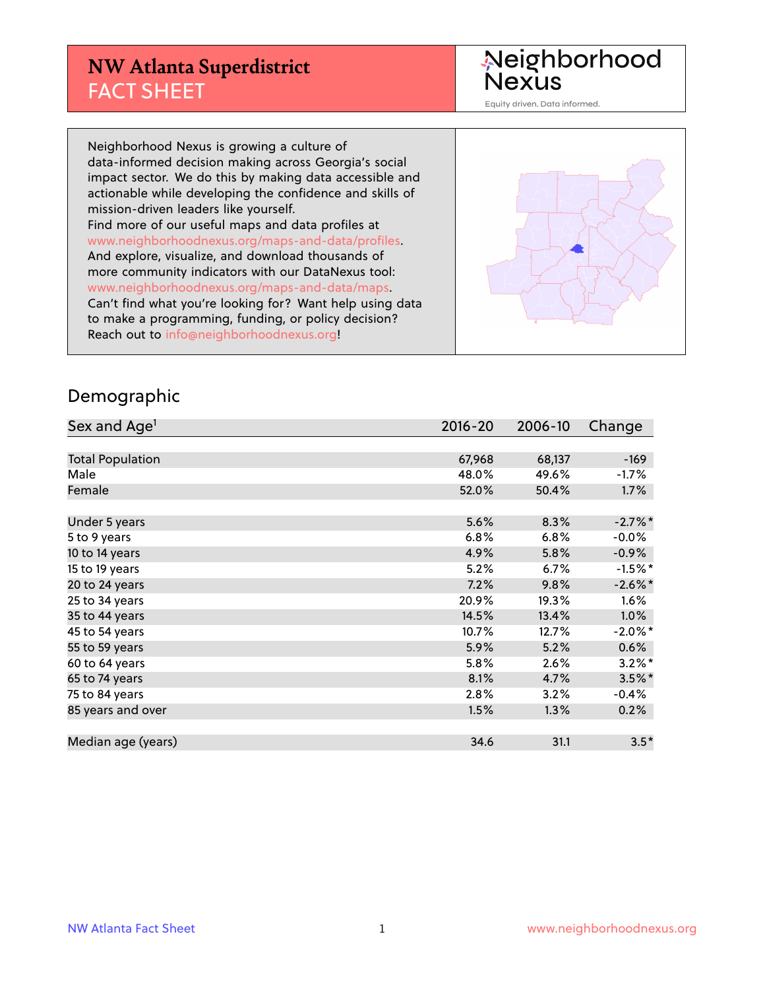#### **NW Atlanta Superdistrict** FACT SHEET

Neighborhood<br>Nexus

Equity driven. Data informed.

Neighborhood Nexus is growing a culture of data-informed decision making across Georgia's social impact sector. We do this by making data accessible and actionable while developing the confidence and skills of mission-driven leaders like yourself. Find more of our useful maps and data profiles at www.neighborhoodnexus.org/maps-and-data/profiles. And explore, visualize, and download thousands of more community indicators with our DataNexus tool: www.neighborhoodnexus.org/maps-and-data/maps. Can't find what you're looking for? Want help using data to make a programming, funding, or policy decision? Reach out to [info@neighborhoodnexus.org!](mailto:info@neighborhoodnexus.org)



#### Demographic

| Sex and Age <sup>1</sup> | $2016 - 20$ | 2006-10 | Change     |
|--------------------------|-------------|---------|------------|
|                          |             |         |            |
| <b>Total Population</b>  | 67,968      | 68,137  | $-169$     |
| Male                     | 48.0%       | 49.6%   | $-1.7\%$   |
| Female                   | 52.0%       | 50.4%   | $1.7\%$    |
|                          |             |         |            |
| Under 5 years            | 5.6%        | 8.3%    | $-2.7\%$ * |
| 5 to 9 years             | 6.8%        | 6.8%    | $-0.0%$    |
| 10 to 14 years           | 4.9%        | 5.8%    | $-0.9\%$   |
| 15 to 19 years           | 5.2%        | 6.7%    | $-1.5%$ *  |
| 20 to 24 years           | 7.2%        | 9.8%    | $-2.6\%$ * |
| 25 to 34 years           | 20.9%       | 19.3%   | 1.6%       |
| 35 to 44 years           | 14.5%       | 13.4%   | 1.0%       |
| 45 to 54 years           | 10.7%       | 12.7%   | $-2.0\%$ * |
| 55 to 59 years           | 5.9%        | 5.2%    | 0.6%       |
| 60 to 64 years           | 5.8%        | 2.6%    | $3.2\%$ *  |
| 65 to 74 years           | 8.1%        | 4.7%    | $3.5\%$ *  |
| 75 to 84 years           | 2.8%        | 3.2%    | $-0.4%$    |
| 85 years and over        | 1.5%        | 1.3%    | 0.2%       |
|                          |             |         |            |
| Median age (years)       | 34.6        | 31.1    | $3.5*$     |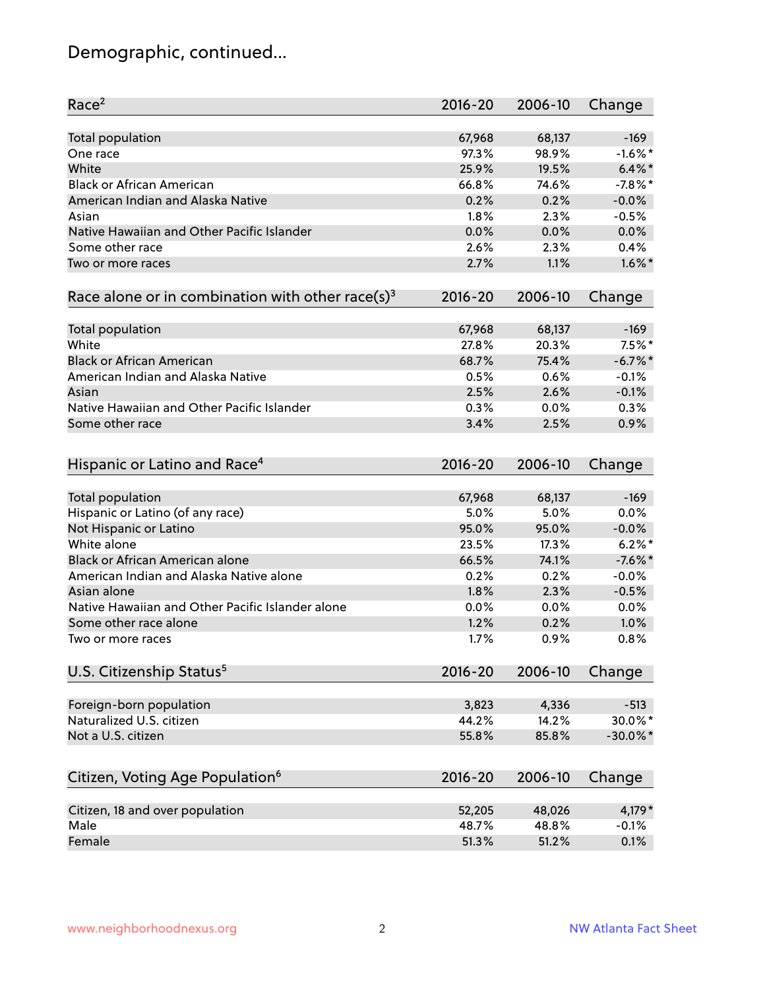# Demographic, continued...

| Race <sup>2</sup>                                            | $2016 - 20$ | 2006-10 | Change      |
|--------------------------------------------------------------|-------------|---------|-------------|
| Total population                                             | 67,968      | 68,137  | $-169$      |
| One race                                                     | 97.3%       | 98.9%   | $-1.6\%$ *  |
| White                                                        | 25.9%       | 19.5%   | $6.4\%$ *   |
| <b>Black or African American</b>                             | 66.8%       | 74.6%   | $-7.8%$ *   |
| American Indian and Alaska Native                            | 0.2%        | 0.2%    | $-0.0%$     |
| Asian                                                        | 1.8%        | 2.3%    | $-0.5%$     |
| Native Hawaiian and Other Pacific Islander                   | 0.0%        | 0.0%    | 0.0%        |
| Some other race                                              | 2.6%        | 2.3%    | 0.4%        |
| Two or more races                                            | 2.7%        | 1.1%    | $1.6\%$ *   |
| Race alone or in combination with other race(s) <sup>3</sup> | $2016 - 20$ | 2006-10 | Change      |
| Total population                                             | 67,968      | 68,137  | $-169$      |
| White                                                        | 27.8%       | 20.3%   | $7.5%$ *    |
| <b>Black or African American</b>                             | 68.7%       | 75.4%   | $-6.7\%$ *  |
| American Indian and Alaska Native                            | 0.5%        | 0.6%    | $-0.1%$     |
| Asian                                                        | 2.5%        | 2.6%    | $-0.1%$     |
| Native Hawaiian and Other Pacific Islander                   | 0.3%        | 0.0%    | 0.3%        |
| Some other race                                              | 3.4%        | 2.5%    | 0.9%        |
| Hispanic or Latino and Race <sup>4</sup>                     | $2016 - 20$ | 2006-10 | Change      |
| <b>Total population</b>                                      | 67,968      | 68,137  | $-169$      |
| Hispanic or Latino (of any race)                             | 5.0%        | 5.0%    | 0.0%        |
| Not Hispanic or Latino                                       | 95.0%       | 95.0%   | $-0.0%$     |
| White alone                                                  | 23.5%       | 17.3%   | $6.2%$ *    |
| <b>Black or African American alone</b>                       | 66.5%       | 74.1%   | $-7.6%$     |
| American Indian and Alaska Native alone                      | 0.2%        | 0.2%    | $-0.0%$     |
| Asian alone                                                  | 1.8%        | 2.3%    | $-0.5%$     |
| Native Hawaiian and Other Pacific Islander alone             | 0.0%        | 0.0%    | 0.0%        |
| Some other race alone                                        | 1.2%        | 0.2%    | 1.0%        |
| Two or more races                                            | 1.7%        | 0.9%    | 0.8%        |
| U.S. Citizenship Status <sup>5</sup>                         | $2016 - 20$ | 2006-10 | Change      |
| Foreign-born population                                      | 3,823       | 4,336   | $-513$      |
| Naturalized U.S. citizen                                     | 44.2%       | 14.2%   | 30.0%*      |
| Not a U.S. citizen                                           | 55.8%       | 85.8%   | $-30.0\%$ * |
|                                                              |             |         |             |
| Citizen, Voting Age Population <sup>6</sup>                  | $2016 - 20$ | 2006-10 | Change      |
| Citizen, 18 and over population                              | 52,205      | 48,026  | $4,179*$    |
| Male                                                         | 48.7%       | 48.8%   | $-0.1%$     |
| Female                                                       | 51.3%       | 51.2%   | 0.1%        |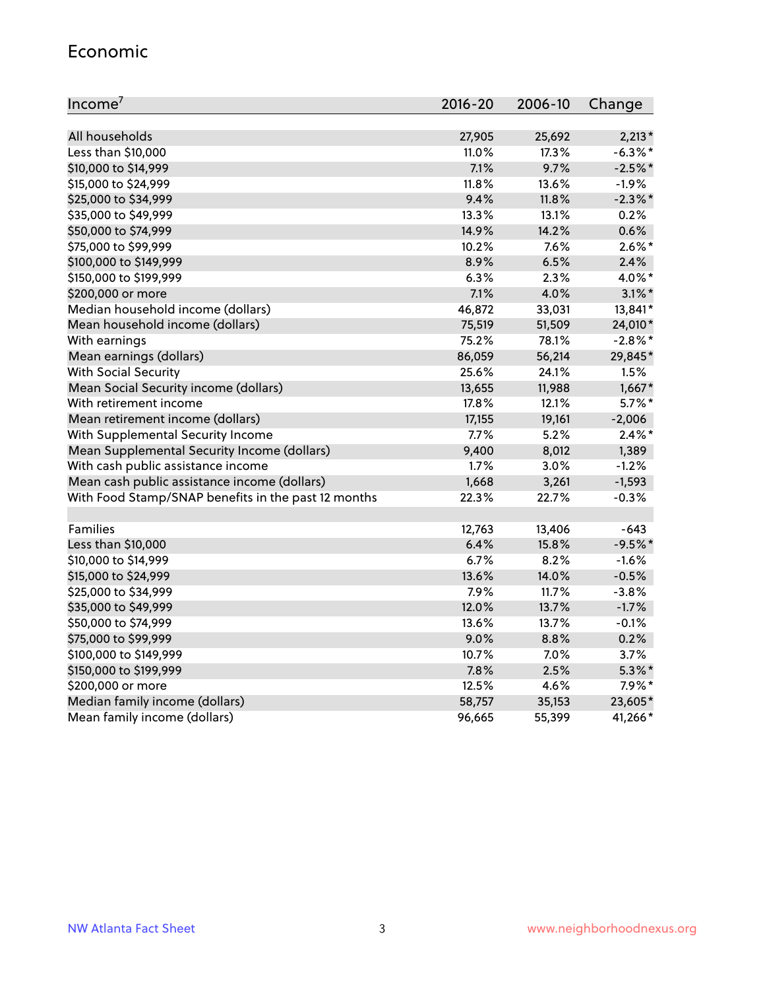#### Economic

| Income <sup>7</sup>                                 | $2016 - 20$ | 2006-10 | Change     |
|-----------------------------------------------------|-------------|---------|------------|
|                                                     |             |         |            |
| All households                                      | 27,905      | 25,692  | $2,213*$   |
| Less than \$10,000                                  | 11.0%       | 17.3%   | $-6.3\%$ * |
| \$10,000 to \$14,999                                | 7.1%        | 9.7%    | $-2.5%$ *  |
| \$15,000 to \$24,999                                | 11.8%       | 13.6%   | $-1.9%$    |
| \$25,000 to \$34,999                                | 9.4%        | 11.8%   | $-2.3\%$ * |
| \$35,000 to \$49,999                                | 13.3%       | 13.1%   | 0.2%       |
| \$50,000 to \$74,999                                | 14.9%       | 14.2%   | 0.6%       |
| \$75,000 to \$99,999                                | 10.2%       | 7.6%    | $2.6\%$ *  |
| \$100,000 to \$149,999                              | 8.9%        | 6.5%    | 2.4%       |
| \$150,000 to \$199,999                              | 6.3%        | 2.3%    | 4.0%*      |
| \$200,000 or more                                   | 7.1%        | 4.0%    | $3.1\%$ *  |
| Median household income (dollars)                   | 46,872      | 33,031  | 13,841*    |
| Mean household income (dollars)                     | 75,519      | 51,509  | 24,010*    |
| With earnings                                       | 75.2%       | 78.1%   | $-2.8\%$ * |
| Mean earnings (dollars)                             | 86,059      | 56,214  | 29,845*    |
| <b>With Social Security</b>                         | 25.6%       | 24.1%   | 1.5%       |
| Mean Social Security income (dollars)               | 13,655      | 11,988  | 1,667*     |
| With retirement income                              | 17.8%       | 12.1%   | $5.7\%$ *  |
| Mean retirement income (dollars)                    | 17,155      | 19,161  | $-2,006$   |
| With Supplemental Security Income                   | 7.7%        | 5.2%    | $2.4\%$ *  |
| Mean Supplemental Security Income (dollars)         | 9,400       | 8,012   | 1,389      |
| With cash public assistance income                  | 1.7%        | 3.0%    | $-1.2%$    |
| Mean cash public assistance income (dollars)        | 1,668       | 3,261   | $-1,593$   |
| With Food Stamp/SNAP benefits in the past 12 months | 22.3%       | 22.7%   | $-0.3%$    |
|                                                     |             |         |            |
| Families                                            | 12,763      | 13,406  | $-643$     |
| Less than \$10,000                                  | 6.4%        | 15.8%   | $-9.5%$ *  |
| \$10,000 to \$14,999                                | 6.7%        | 8.2%    | $-1.6%$    |
| \$15,000 to \$24,999                                | 13.6%       | 14.0%   | $-0.5%$    |
| \$25,000 to \$34,999                                | 7.9%        | 11.7%   | $-3.8%$    |
| \$35,000 to \$49,999                                | 12.0%       | 13.7%   | $-1.7%$    |
| \$50,000 to \$74,999                                | 13.6%       | 13.7%   | $-0.1%$    |
| \$75,000 to \$99,999                                | 9.0%        | 8.8%    | 0.2%       |
| \$100,000 to \$149,999                              | 10.7%       | $7.0\%$ | 3.7%       |
| \$150,000 to \$199,999                              | 7.8%        | 2.5%    | $5.3\%$ *  |
| \$200,000 or more                                   | 12.5%       | 4.6%    | $7.9\%*$   |
| Median family income (dollars)                      | 58,757      | 35,153  | 23,605*    |
| Mean family income (dollars)                        | 96,665      | 55,399  | 41,266*    |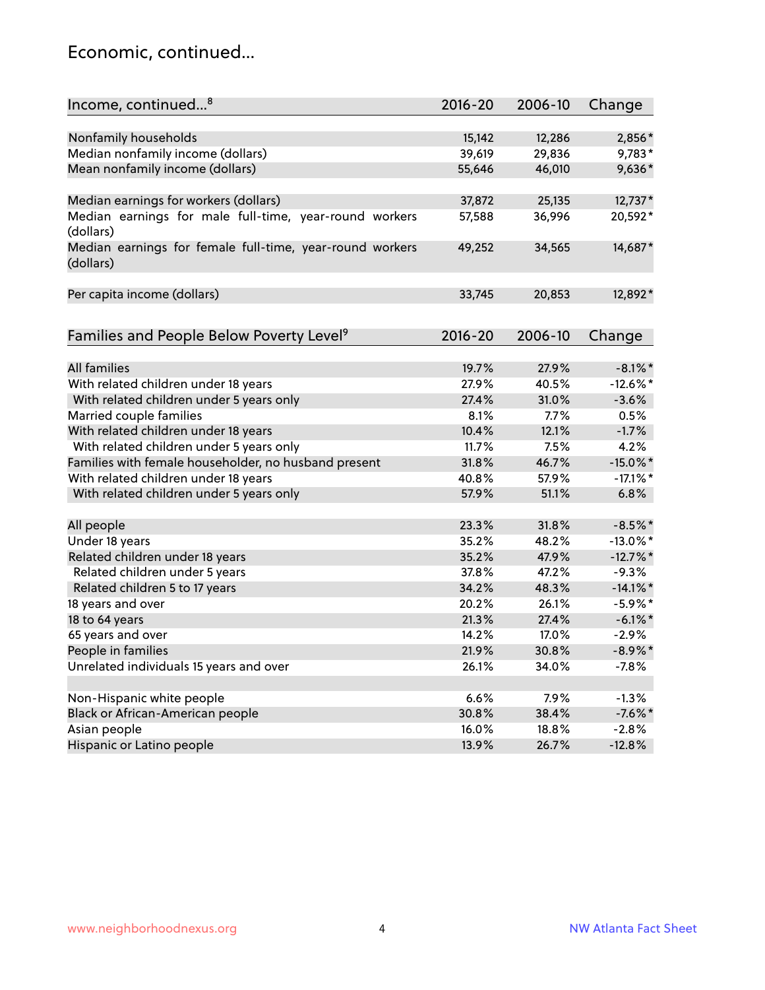#### Economic, continued...

| Income, continued <sup>8</sup>                           | $2016 - 20$ | 2006-10        | Change      |
|----------------------------------------------------------|-------------|----------------|-------------|
|                                                          |             |                |             |
| Nonfamily households                                     | 15,142      | 12,286         | 2,856*      |
| Median nonfamily income (dollars)                        | 39,619      | 29,836         | 9,783*      |
| Mean nonfamily income (dollars)                          | 55,646      | 46,010         | 9,636*      |
|                                                          |             |                |             |
| Median earnings for workers (dollars)                    | 37,872      | 25,135         | 12,737*     |
| Median earnings for male full-time, year-round workers   | 57,588      | 36,996         | 20,592*     |
| (dollars)                                                |             |                |             |
| Median earnings for female full-time, year-round workers | 49,252      | 34,565         | 14,687*     |
| (dollars)                                                |             |                |             |
|                                                          |             |                |             |
| Per capita income (dollars)                              | 33,745      | 20,853         | 12,892*     |
|                                                          |             |                |             |
|                                                          | $2016 - 20$ | 2006-10        |             |
| Families and People Below Poverty Level <sup>9</sup>     |             |                | Change      |
|                                                          |             |                |             |
| <b>All families</b>                                      | 19.7%       | 27.9%          | $-8.1\%$ *  |
| With related children under 18 years                     | 27.9%       | 40.5%          | $-12.6%$ *  |
| With related children under 5 years only                 | 27.4%       | 31.0%          | $-3.6%$     |
| Married couple families                                  | 8.1%        | 7.7%           | 0.5%        |
| With related children under 18 years                     | 10.4%       | 12.1%          | $-1.7%$     |
| With related children under 5 years only                 | 11.7%       | 7.5%           | 4.2%        |
| Families with female householder, no husband present     | 31.8%       | 46.7%          | $-15.0\%$ * |
| With related children under 18 years                     | 40.8%       | 57.9%          | $-17.1\%$ * |
| With related children under 5 years only                 | 57.9%       | 51.1%          | 6.8%        |
|                                                          |             |                |             |
| All people                                               | 23.3%       | 31.8%<br>48.2% | $-8.5%$ *   |
| Under 18 years                                           | 35.2%       |                | $-13.0\%$ * |
| Related children under 18 years                          | 35.2%       | 47.9%          | $-12.7\%$ * |
| Related children under 5 years                           | 37.8%       | 47.2%          | $-9.3%$     |
| Related children 5 to 17 years                           | 34.2%       | 48.3%          | $-14.1\%$ * |
| 18 years and over                                        | 20.2%       | 26.1%          | $-5.9\%$ *  |
| 18 to 64 years                                           | 21.3%       | 27.4%          | $-6.1\%$ *  |
| 65 years and over                                        | 14.2%       | 17.0%          | $-2.9%$     |
| People in families                                       | 21.9%       | 30.8%          | $-8.9\%$ *  |
| Unrelated individuals 15 years and over                  | 26.1%       | 34.0%          | $-7.8%$     |
|                                                          |             |                |             |
| Non-Hispanic white people                                | 6.6%        | 7.9%           | $-1.3%$     |
| Black or African-American people                         | 30.8%       | 38.4%          | $-7.6\%$ *  |
| Asian people                                             | 16.0%       | 18.8%          | $-2.8%$     |
| Hispanic or Latino people                                | 13.9%       | 26.7%          | $-12.8%$    |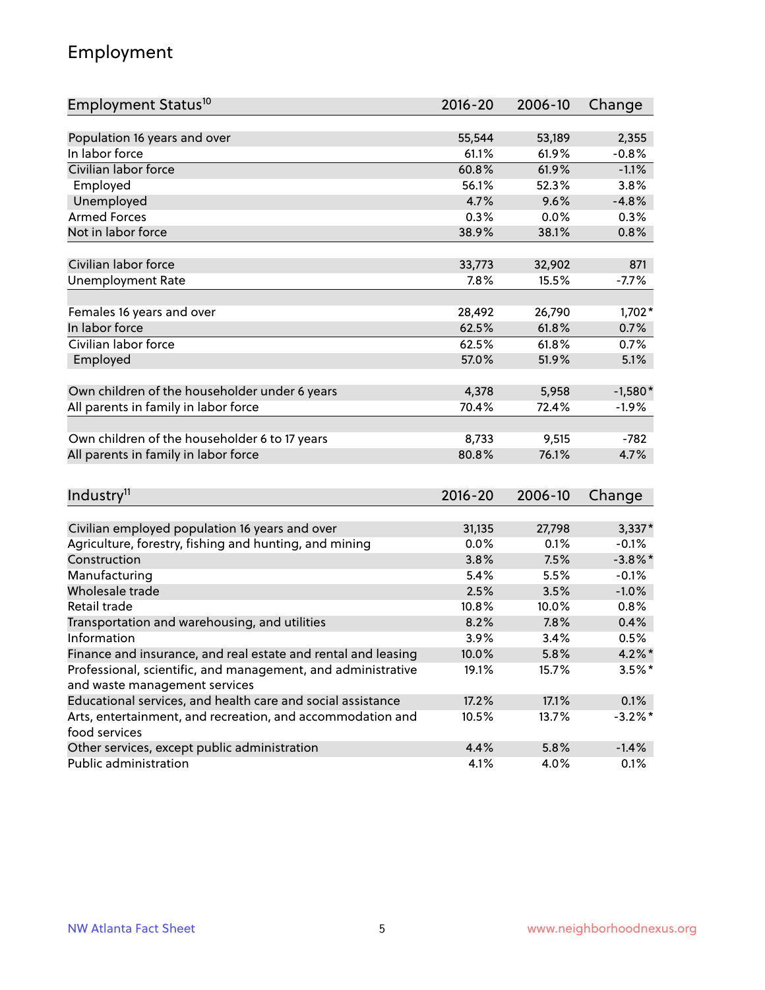## Employment

| Employment Status <sup>10</sup>                                                               | $2016 - 20$ | 2006-10 | Change     |
|-----------------------------------------------------------------------------------------------|-------------|---------|------------|
|                                                                                               |             |         |            |
| Population 16 years and over                                                                  | 55,544      | 53,189  | 2,355      |
| In labor force                                                                                | 61.1%       | 61.9%   | $-0.8%$    |
| Civilian labor force                                                                          | 60.8%       | 61.9%   | $-1.1%$    |
| Employed                                                                                      | 56.1%       | 52.3%   | 3.8%       |
| Unemployed                                                                                    | 4.7%        | 9.6%    | $-4.8%$    |
| <b>Armed Forces</b>                                                                           | 0.3%        | 0.0%    | 0.3%       |
| Not in labor force                                                                            | 38.9%       | 38.1%   | 0.8%       |
| Civilian labor force                                                                          | 33,773      | 32,902  | 871        |
|                                                                                               | 7.8%        | 15.5%   | $-7.7%$    |
| <b>Unemployment Rate</b>                                                                      |             |         |            |
| Females 16 years and over                                                                     | 28,492      | 26,790  | $1,702*$   |
| In labor force                                                                                | 62.5%       | 61.8%   | 0.7%       |
| Civilian labor force                                                                          | 62.5%       | 61.8%   | 0.7%       |
| Employed                                                                                      | 57.0%       | 51.9%   | 5.1%       |
|                                                                                               |             |         |            |
| Own children of the householder under 6 years                                                 | 4,378       | 5,958   | $-1,580*$  |
| All parents in family in labor force                                                          | 70.4%       | 72.4%   | $-1.9%$    |
| Own children of the householder 6 to 17 years                                                 | 8,733       | 9,515   | $-782$     |
| All parents in family in labor force                                                          | 80.8%       | 76.1%   | 4.7%       |
|                                                                                               |             |         |            |
| Industry <sup>11</sup>                                                                        | $2016 - 20$ | 2006-10 | Change     |
|                                                                                               |             |         |            |
| Civilian employed population 16 years and over                                                | 31,135      | 27,798  | $3,337*$   |
| Agriculture, forestry, fishing and hunting, and mining                                        | 0.0%        | 0.1%    | $-0.1%$    |
| Construction                                                                                  | 3.8%        | 7.5%    | $-3.8\%$ * |
| Manufacturing                                                                                 | 5.4%        | 5.5%    | $-0.1%$    |
| Wholesale trade                                                                               | 2.5%        | 3.5%    | $-1.0%$    |
| Retail trade                                                                                  | 10.8%       | 10.0%   | 0.8%       |
| Transportation and warehousing, and utilities                                                 | 8.2%        | 7.8%    | 0.4%       |
| Information                                                                                   | 3.9%        | 3.4%    | 0.5%       |
| Finance and insurance, and real estate and rental and leasing                                 | 10.0%       | 5.8%    | $4.2\%$ *  |
| Professional, scientific, and management, and administrative<br>and waste management services | 19.1%       | 15.7%   | $3.5%$ *   |
| Educational services, and health care and social assistance                                   | 17.2%       | 17.1%   | 0.1%       |
| Arts, entertainment, and recreation, and accommodation and                                    | 10.5%       | 13.7%   | $-3.2\%$ * |
| food services                                                                                 |             |         |            |
| Other services, except public administration                                                  | 4.4%        | 5.8%    | $-1.4%$    |
| Public administration                                                                         | 4.1%        | 4.0%    | 0.1%       |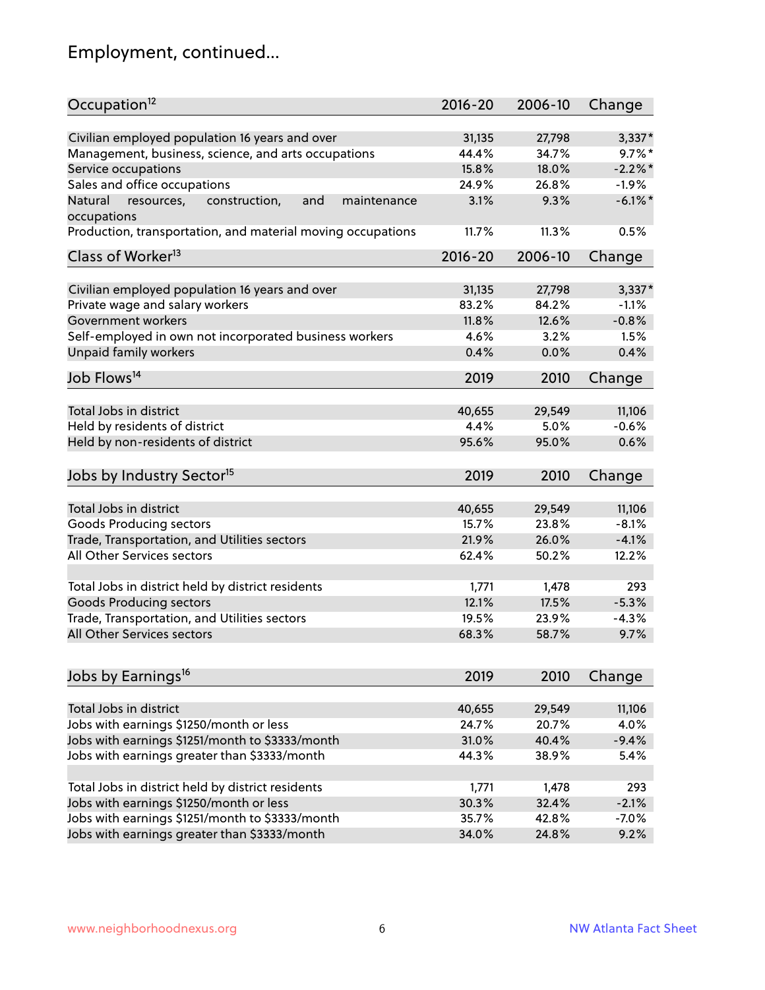# Employment, continued...

| Occupation <sup>12</sup>                                                    | $2016 - 20$ | 2006-10 | Change     |
|-----------------------------------------------------------------------------|-------------|---------|------------|
| Civilian employed population 16 years and over                              | 31,135      | 27,798  | $3,337*$   |
| Management, business, science, and arts occupations                         | 44.4%       | 34.7%   | $9.7\%$ *  |
| Service occupations                                                         | 15.8%       | 18.0%   | $-2.2\%$ * |
| Sales and office occupations                                                | 24.9%       | 26.8%   | $-1.9%$    |
|                                                                             |             |         | $-6.1\%$   |
| Natural<br>and<br>resources,<br>construction,<br>maintenance<br>occupations | 3.1%        | 9.3%    |            |
| Production, transportation, and material moving occupations                 | 11.7%       | 11.3%   | 0.5%       |
| Class of Worker <sup>13</sup>                                               | $2016 - 20$ | 2006-10 | Change     |
|                                                                             |             |         |            |
| Civilian employed population 16 years and over                              | 31,135      | 27,798  | $3,337*$   |
| Private wage and salary workers                                             | 83.2%       | 84.2%   | $-1.1%$    |
| Government workers                                                          | 11.8%       | 12.6%   | $-0.8%$    |
| Self-employed in own not incorporated business workers                      | 4.6%        | 3.2%    | 1.5%       |
| Unpaid family workers                                                       | 0.4%        | 0.0%    | 0.4%       |
| Job Flows <sup>14</sup>                                                     | 2019        | 2010    | Change     |
|                                                                             |             |         |            |
| Total Jobs in district                                                      | 40,655      | 29,549  | 11,106     |
| Held by residents of district                                               | 4.4%        | 5.0%    | $-0.6%$    |
| Held by non-residents of district                                           | 95.6%       | 95.0%   | 0.6%       |
| Jobs by Industry Sector <sup>15</sup>                                       | 2019        | 2010    | Change     |
|                                                                             |             |         |            |
| Total Jobs in district                                                      | 40,655      | 29,549  | 11,106     |
| Goods Producing sectors                                                     | 15.7%       | 23.8%   | $-8.1%$    |
| Trade, Transportation, and Utilities sectors                                | 21.9%       | 26.0%   | $-4.1%$    |
| All Other Services sectors                                                  | 62.4%       | 50.2%   | 12.2%      |
| Total Jobs in district held by district residents                           | 1,771       | 1,478   | 293        |
| <b>Goods Producing sectors</b>                                              | 12.1%       | 17.5%   | $-5.3%$    |
| Trade, Transportation, and Utilities sectors                                | 19.5%       | 23.9%   | $-4.3%$    |
| All Other Services sectors                                                  | 68.3%       | 58.7%   | 9.7%       |
|                                                                             |             |         |            |
| Jobs by Earnings <sup>16</sup>                                              | 2019        | 2010    | Change     |
|                                                                             |             |         |            |
| Total Jobs in district                                                      | 40,655      | 29,549  | 11,106     |
| Jobs with earnings \$1250/month or less                                     | 24.7%       | 20.7%   | 4.0%       |
| Jobs with earnings \$1251/month to \$3333/month                             | 31.0%       | 40.4%   | $-9.4%$    |
| Jobs with earnings greater than \$3333/month                                | 44.3%       | 38.9%   | 5.4%       |
| Total Jobs in district held by district residents                           | 1,771       | 1,478   | 293        |
| Jobs with earnings \$1250/month or less                                     | 30.3%       | 32.4%   | $-2.1%$    |
| Jobs with earnings \$1251/month to \$3333/month                             | 35.7%       | 42.8%   | $-7.0%$    |
| Jobs with earnings greater than \$3333/month                                | 34.0%       | 24.8%   | 9.2%       |
|                                                                             |             |         |            |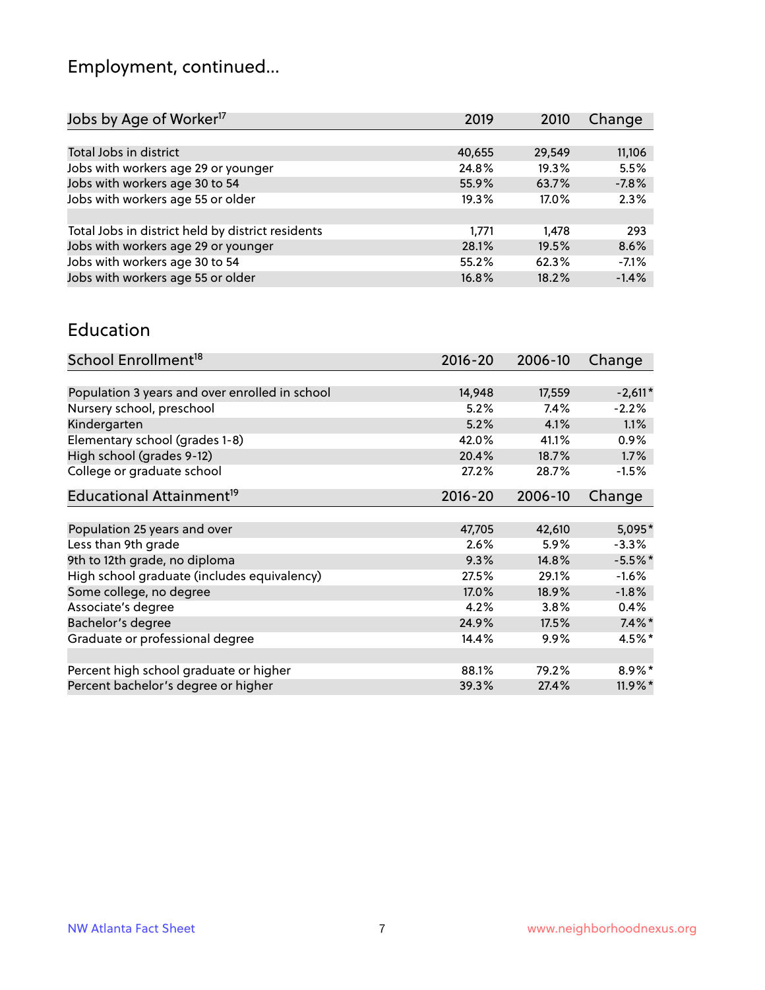# Employment, continued...

| 2019   | 2010   | Change  |
|--------|--------|---------|
|        |        |         |
| 40,655 | 29,549 | 11,106  |
| 24.8%  | 19.3%  | 5.5%    |
| 55.9%  | 63.7%  | $-7.8%$ |
| 19.3%  | 17.0%  | 2.3%    |
|        |        |         |
| 1.771  | 1.478  | 293     |
| 28.1%  | 19.5%  | 8.6%    |
| 55.2%  | 62.3%  | $-7.1%$ |
| 16.8%  | 18.2%  | $-1.4%$ |
|        |        |         |

#### Education

| School Enrollment <sup>18</sup>                | $2016 - 20$ | 2006-10 | Change     |
|------------------------------------------------|-------------|---------|------------|
|                                                |             |         |            |
| Population 3 years and over enrolled in school | 14,948      | 17,559  | $-2,611*$  |
| Nursery school, preschool                      | 5.2%        | 7.4%    | $-2.2%$    |
| Kindergarten                                   | 5.2%        | 4.1%    | 1.1%       |
| Elementary school (grades 1-8)                 | 42.0%       | 41.1%   | 0.9%       |
| High school (grades 9-12)                      | 20.4%       | 18.7%   | 1.7%       |
| College or graduate school                     | 27.2%       | 28.7%   | $-1.5%$    |
| Educational Attainment <sup>19</sup>           | $2016 - 20$ | 2006-10 | Change     |
|                                                |             |         |            |
| Population 25 years and over                   | 47,705      | 42,610  | 5,095*     |
| Less than 9th grade                            | 2.6%        | 5.9%    | $-3.3%$    |
| 9th to 12th grade, no diploma                  | 9.3%        | 14.8%   | $-5.5%$ *  |
| High school graduate (includes equivalency)    | 27.5%       | 29.1%   | $-1.6%$    |
| Some college, no degree                        | 17.0%       | 18.9%   | $-1.8\%$   |
| Associate's degree                             | 4.2%        | 3.8%    | 0.4%       |
| Bachelor's degree                              | 24.9%       | 17.5%   | $7.4\%$ *  |
| Graduate or professional degree                | 14.4%       | $9.9\%$ | 4.5%*      |
|                                                |             |         |            |
| Percent high school graduate or higher         | 88.1%       | 79.2%   | $8.9\%$ *  |
| Percent bachelor's degree or higher            | 39.3%       | 27.4%   | $11.9\%$ * |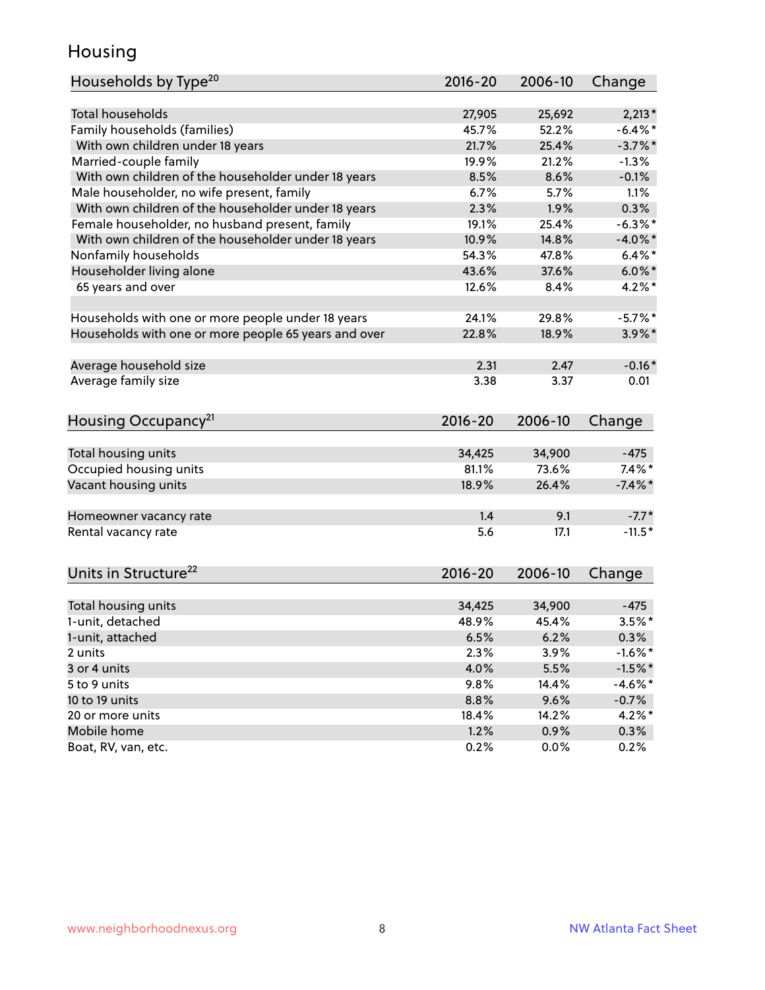## Housing

| <b>Total households</b><br>27,905<br>$2,213*$<br>25,692<br>Family households (families)<br>$-6.4\%$ *<br>45.7%<br>52.2%<br>With own children under 18 years<br>21.7%<br>25.4%<br>$-3.7\%$ *<br>Married-couple family<br>19.9%<br>21.2%<br>$-1.3%$<br>With own children of the householder under 18 years<br>8.5%<br>8.6%<br>$-0.1%$<br>Male householder, no wife present, family<br>6.7%<br>5.7%<br>1.1%<br>With own children of the householder under 18 years<br>2.3%<br>0.3%<br>1.9%<br>Female householder, no husband present, family<br>19.1%<br>$-6.3\%$ *<br>25.4%<br>With own children of the householder under 18 years<br>$-4.0\%$ *<br>10.9%<br>14.8%<br>Nonfamily households<br>54.3%<br>47.8%<br>$6.4\%$ *<br>Householder living alone<br>43.6%<br>$6.0\%$ *<br>37.6%<br>65 years and over<br>12.6%<br>$4.2\%$ *<br>8.4%<br>24.1%<br>Households with one or more people under 18 years<br>29.8%<br>$-5.7%$ *<br>Households with one or more people 65 years and over<br>22.8%<br>$3.9\%$ *<br>18.9%<br>$-0.16*$<br>Average household size<br>2.31<br>2.47<br>Average family size<br>3.38<br>3.37<br>0.01<br>Housing Occupancy <sup>21</sup><br>$2016 - 20$<br>2006-10<br>Change<br>Total housing units<br>34,900<br>$-475$<br>34,425<br>Occupied housing units<br>81.1%<br>73.6%<br>$7.4\%$ *<br>Vacant housing units<br>18.9%<br>26.4%<br>$-7.4\%$ *<br>1.4<br>9.1<br>$-7.7*$<br>Homeowner vacancy rate<br>$-11.5*$<br>Rental vacancy rate<br>5.6<br>17.1<br>Units in Structure <sup>22</sup><br>$2016 - 20$<br>2006-10<br>Change<br>Total housing units<br>34,425<br>34,900<br>$-475$<br>$3.5%$ *<br>1-unit, detached<br>48.9%<br>45.4%<br>1-unit, attached<br>6.5%<br>6.2%<br>0.3%<br>2.3%<br>3.9%<br>$-1.6%$ *<br>2 units<br>3 or 4 units<br>4.0%<br>5.5%<br>$-1.5%$ *<br>5 to 9 units<br>9.8%<br>14.4%<br>$-4.6\%$ *<br>10 to 19 units<br>8.8%<br>9.6%<br>$-0.7%$<br>14.2%<br>4.2%*<br>20 or more units<br>18.4%<br>Mobile home<br>1.2%<br>0.9%<br>$0.3\%$ | Households by Type <sup>20</sup> | 2016-20 | 2006-10 | Change |
|------------------------------------------------------------------------------------------------------------------------------------------------------------------------------------------------------------------------------------------------------------------------------------------------------------------------------------------------------------------------------------------------------------------------------------------------------------------------------------------------------------------------------------------------------------------------------------------------------------------------------------------------------------------------------------------------------------------------------------------------------------------------------------------------------------------------------------------------------------------------------------------------------------------------------------------------------------------------------------------------------------------------------------------------------------------------------------------------------------------------------------------------------------------------------------------------------------------------------------------------------------------------------------------------------------------------------------------------------------------------------------------------------------------------------------------------------------------------------------------------------------------------------------------------------------------------------------------------------------------------------------------------------------------------------------------------------------------------------------------------------------------------------------------------------------------------------------------------------------------------------------------------------------------------------------------------------------------------------|----------------------------------|---------|---------|--------|
|                                                                                                                                                                                                                                                                                                                                                                                                                                                                                                                                                                                                                                                                                                                                                                                                                                                                                                                                                                                                                                                                                                                                                                                                                                                                                                                                                                                                                                                                                                                                                                                                                                                                                                                                                                                                                                                                                                                                                                              |                                  |         |         |        |
|                                                                                                                                                                                                                                                                                                                                                                                                                                                                                                                                                                                                                                                                                                                                                                                                                                                                                                                                                                                                                                                                                                                                                                                                                                                                                                                                                                                                                                                                                                                                                                                                                                                                                                                                                                                                                                                                                                                                                                              |                                  |         |         |        |
|                                                                                                                                                                                                                                                                                                                                                                                                                                                                                                                                                                                                                                                                                                                                                                                                                                                                                                                                                                                                                                                                                                                                                                                                                                                                                                                                                                                                                                                                                                                                                                                                                                                                                                                                                                                                                                                                                                                                                                              |                                  |         |         |        |
|                                                                                                                                                                                                                                                                                                                                                                                                                                                                                                                                                                                                                                                                                                                                                                                                                                                                                                                                                                                                                                                                                                                                                                                                                                                                                                                                                                                                                                                                                                                                                                                                                                                                                                                                                                                                                                                                                                                                                                              |                                  |         |         |        |
|                                                                                                                                                                                                                                                                                                                                                                                                                                                                                                                                                                                                                                                                                                                                                                                                                                                                                                                                                                                                                                                                                                                                                                                                                                                                                                                                                                                                                                                                                                                                                                                                                                                                                                                                                                                                                                                                                                                                                                              |                                  |         |         |        |
|                                                                                                                                                                                                                                                                                                                                                                                                                                                                                                                                                                                                                                                                                                                                                                                                                                                                                                                                                                                                                                                                                                                                                                                                                                                                                                                                                                                                                                                                                                                                                                                                                                                                                                                                                                                                                                                                                                                                                                              |                                  |         |         |        |
|                                                                                                                                                                                                                                                                                                                                                                                                                                                                                                                                                                                                                                                                                                                                                                                                                                                                                                                                                                                                                                                                                                                                                                                                                                                                                                                                                                                                                                                                                                                                                                                                                                                                                                                                                                                                                                                                                                                                                                              |                                  |         |         |        |
|                                                                                                                                                                                                                                                                                                                                                                                                                                                                                                                                                                                                                                                                                                                                                                                                                                                                                                                                                                                                                                                                                                                                                                                                                                                                                                                                                                                                                                                                                                                                                                                                                                                                                                                                                                                                                                                                                                                                                                              |                                  |         |         |        |
|                                                                                                                                                                                                                                                                                                                                                                                                                                                                                                                                                                                                                                                                                                                                                                                                                                                                                                                                                                                                                                                                                                                                                                                                                                                                                                                                                                                                                                                                                                                                                                                                                                                                                                                                                                                                                                                                                                                                                                              |                                  |         |         |        |
|                                                                                                                                                                                                                                                                                                                                                                                                                                                                                                                                                                                                                                                                                                                                                                                                                                                                                                                                                                                                                                                                                                                                                                                                                                                                                                                                                                                                                                                                                                                                                                                                                                                                                                                                                                                                                                                                                                                                                                              |                                  |         |         |        |
|                                                                                                                                                                                                                                                                                                                                                                                                                                                                                                                                                                                                                                                                                                                                                                                                                                                                                                                                                                                                                                                                                                                                                                                                                                                                                                                                                                                                                                                                                                                                                                                                                                                                                                                                                                                                                                                                                                                                                                              |                                  |         |         |        |
|                                                                                                                                                                                                                                                                                                                                                                                                                                                                                                                                                                                                                                                                                                                                                                                                                                                                                                                                                                                                                                                                                                                                                                                                                                                                                                                                                                                                                                                                                                                                                                                                                                                                                                                                                                                                                                                                                                                                                                              |                                  |         |         |        |
|                                                                                                                                                                                                                                                                                                                                                                                                                                                                                                                                                                                                                                                                                                                                                                                                                                                                                                                                                                                                                                                                                                                                                                                                                                                                                                                                                                                                                                                                                                                                                                                                                                                                                                                                                                                                                                                                                                                                                                              |                                  |         |         |        |
|                                                                                                                                                                                                                                                                                                                                                                                                                                                                                                                                                                                                                                                                                                                                                                                                                                                                                                                                                                                                                                                                                                                                                                                                                                                                                                                                                                                                                                                                                                                                                                                                                                                                                                                                                                                                                                                                                                                                                                              |                                  |         |         |        |
|                                                                                                                                                                                                                                                                                                                                                                                                                                                                                                                                                                                                                                                                                                                                                                                                                                                                                                                                                                                                                                                                                                                                                                                                                                                                                                                                                                                                                                                                                                                                                                                                                                                                                                                                                                                                                                                                                                                                                                              |                                  |         |         |        |
|                                                                                                                                                                                                                                                                                                                                                                                                                                                                                                                                                                                                                                                                                                                                                                                                                                                                                                                                                                                                                                                                                                                                                                                                                                                                                                                                                                                                                                                                                                                                                                                                                                                                                                                                                                                                                                                                                                                                                                              |                                  |         |         |        |
|                                                                                                                                                                                                                                                                                                                                                                                                                                                                                                                                                                                                                                                                                                                                                                                                                                                                                                                                                                                                                                                                                                                                                                                                                                                                                                                                                                                                                                                                                                                                                                                                                                                                                                                                                                                                                                                                                                                                                                              |                                  |         |         |        |
|                                                                                                                                                                                                                                                                                                                                                                                                                                                                                                                                                                                                                                                                                                                                                                                                                                                                                                                                                                                                                                                                                                                                                                                                                                                                                                                                                                                                                                                                                                                                                                                                                                                                                                                                                                                                                                                                                                                                                                              |                                  |         |         |        |
|                                                                                                                                                                                                                                                                                                                                                                                                                                                                                                                                                                                                                                                                                                                                                                                                                                                                                                                                                                                                                                                                                                                                                                                                                                                                                                                                                                                                                                                                                                                                                                                                                                                                                                                                                                                                                                                                                                                                                                              |                                  |         |         |        |
|                                                                                                                                                                                                                                                                                                                                                                                                                                                                                                                                                                                                                                                                                                                                                                                                                                                                                                                                                                                                                                                                                                                                                                                                                                                                                                                                                                                                                                                                                                                                                                                                                                                                                                                                                                                                                                                                                                                                                                              |                                  |         |         |        |
|                                                                                                                                                                                                                                                                                                                                                                                                                                                                                                                                                                                                                                                                                                                                                                                                                                                                                                                                                                                                                                                                                                                                                                                                                                                                                                                                                                                                                                                                                                                                                                                                                                                                                                                                                                                                                                                                                                                                                                              |                                  |         |         |        |
|                                                                                                                                                                                                                                                                                                                                                                                                                                                                                                                                                                                                                                                                                                                                                                                                                                                                                                                                                                                                                                                                                                                                                                                                                                                                                                                                                                                                                                                                                                                                                                                                                                                                                                                                                                                                                                                                                                                                                                              |                                  |         |         |        |
|                                                                                                                                                                                                                                                                                                                                                                                                                                                                                                                                                                                                                                                                                                                                                                                                                                                                                                                                                                                                                                                                                                                                                                                                                                                                                                                                                                                                                                                                                                                                                                                                                                                                                                                                                                                                                                                                                                                                                                              |                                  |         |         |        |
|                                                                                                                                                                                                                                                                                                                                                                                                                                                                                                                                                                                                                                                                                                                                                                                                                                                                                                                                                                                                                                                                                                                                                                                                                                                                                                                                                                                                                                                                                                                                                                                                                                                                                                                                                                                                                                                                                                                                                                              |                                  |         |         |        |
|                                                                                                                                                                                                                                                                                                                                                                                                                                                                                                                                                                                                                                                                                                                                                                                                                                                                                                                                                                                                                                                                                                                                                                                                                                                                                                                                                                                                                                                                                                                                                                                                                                                                                                                                                                                                                                                                                                                                                                              |                                  |         |         |        |
|                                                                                                                                                                                                                                                                                                                                                                                                                                                                                                                                                                                                                                                                                                                                                                                                                                                                                                                                                                                                                                                                                                                                                                                                                                                                                                                                                                                                                                                                                                                                                                                                                                                                                                                                                                                                                                                                                                                                                                              |                                  |         |         |        |
|                                                                                                                                                                                                                                                                                                                                                                                                                                                                                                                                                                                                                                                                                                                                                                                                                                                                                                                                                                                                                                                                                                                                                                                                                                                                                                                                                                                                                                                                                                                                                                                                                                                                                                                                                                                                                                                                                                                                                                              |                                  |         |         |        |
|                                                                                                                                                                                                                                                                                                                                                                                                                                                                                                                                                                                                                                                                                                                                                                                                                                                                                                                                                                                                                                                                                                                                                                                                                                                                                                                                                                                                                                                                                                                                                                                                                                                                                                                                                                                                                                                                                                                                                                              |                                  |         |         |        |
|                                                                                                                                                                                                                                                                                                                                                                                                                                                                                                                                                                                                                                                                                                                                                                                                                                                                                                                                                                                                                                                                                                                                                                                                                                                                                                                                                                                                                                                                                                                                                                                                                                                                                                                                                                                                                                                                                                                                                                              |                                  |         |         |        |
|                                                                                                                                                                                                                                                                                                                                                                                                                                                                                                                                                                                                                                                                                                                                                                                                                                                                                                                                                                                                                                                                                                                                                                                                                                                                                                                                                                                                                                                                                                                                                                                                                                                                                                                                                                                                                                                                                                                                                                              |                                  |         |         |        |
|                                                                                                                                                                                                                                                                                                                                                                                                                                                                                                                                                                                                                                                                                                                                                                                                                                                                                                                                                                                                                                                                                                                                                                                                                                                                                                                                                                                                                                                                                                                                                                                                                                                                                                                                                                                                                                                                                                                                                                              |                                  |         |         |        |
|                                                                                                                                                                                                                                                                                                                                                                                                                                                                                                                                                                                                                                                                                                                                                                                                                                                                                                                                                                                                                                                                                                                                                                                                                                                                                                                                                                                                                                                                                                                                                                                                                                                                                                                                                                                                                                                                                                                                                                              |                                  |         |         |        |
|                                                                                                                                                                                                                                                                                                                                                                                                                                                                                                                                                                                                                                                                                                                                                                                                                                                                                                                                                                                                                                                                                                                                                                                                                                                                                                                                                                                                                                                                                                                                                                                                                                                                                                                                                                                                                                                                                                                                                                              |                                  |         |         |        |
|                                                                                                                                                                                                                                                                                                                                                                                                                                                                                                                                                                                                                                                                                                                                                                                                                                                                                                                                                                                                                                                                                                                                                                                                                                                                                                                                                                                                                                                                                                                                                                                                                                                                                                                                                                                                                                                                                                                                                                              |                                  |         |         |        |
|                                                                                                                                                                                                                                                                                                                                                                                                                                                                                                                                                                                                                                                                                                                                                                                                                                                                                                                                                                                                                                                                                                                                                                                                                                                                                                                                                                                                                                                                                                                                                                                                                                                                                                                                                                                                                                                                                                                                                                              |                                  |         |         |        |
|                                                                                                                                                                                                                                                                                                                                                                                                                                                                                                                                                                                                                                                                                                                                                                                                                                                                                                                                                                                                                                                                                                                                                                                                                                                                                                                                                                                                                                                                                                                                                                                                                                                                                                                                                                                                                                                                                                                                                                              |                                  |         |         |        |
|                                                                                                                                                                                                                                                                                                                                                                                                                                                                                                                                                                                                                                                                                                                                                                                                                                                                                                                                                                                                                                                                                                                                                                                                                                                                                                                                                                                                                                                                                                                                                                                                                                                                                                                                                                                                                                                                                                                                                                              |                                  |         |         |        |
|                                                                                                                                                                                                                                                                                                                                                                                                                                                                                                                                                                                                                                                                                                                                                                                                                                                                                                                                                                                                                                                                                                                                                                                                                                                                                                                                                                                                                                                                                                                                                                                                                                                                                                                                                                                                                                                                                                                                                                              |                                  |         |         |        |
|                                                                                                                                                                                                                                                                                                                                                                                                                                                                                                                                                                                                                                                                                                                                                                                                                                                                                                                                                                                                                                                                                                                                                                                                                                                                                                                                                                                                                                                                                                                                                                                                                                                                                                                                                                                                                                                                                                                                                                              | Boat, RV, van, etc.              | 0.2%    | 0.0%    | 0.2%   |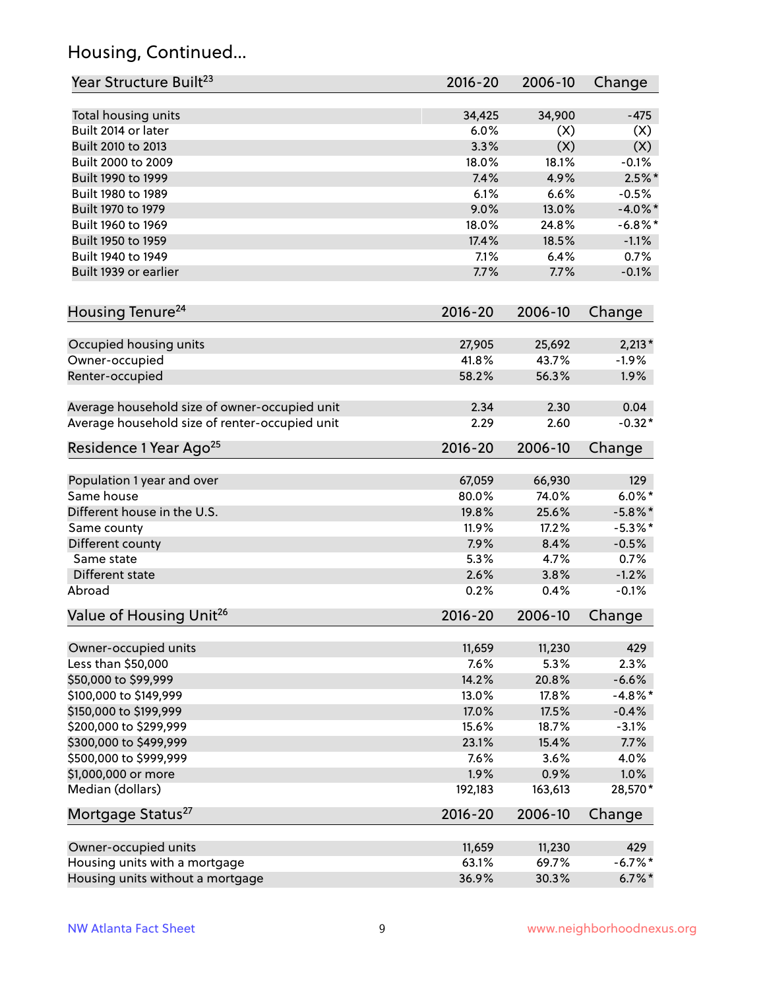## Housing, Continued...

| Year Structure Built <sup>23</sup>             | 2016-20     | 2006-10 | Change     |
|------------------------------------------------|-------------|---------|------------|
| Total housing units                            | 34,425      | 34,900  | $-475$     |
| Built 2014 or later                            | 6.0%        | (X)     | (X)        |
| Built 2010 to 2013                             | 3.3%        | (X)     | (X)        |
| Built 2000 to 2009                             | 18.0%       | 18.1%   | $-0.1%$    |
| Built 1990 to 1999                             | 7.4%        | 4.9%    | $2.5\%$ *  |
| Built 1980 to 1989                             | 6.1%        | 6.6%    | $-0.5%$    |
| Built 1970 to 1979                             | 9.0%        | 13.0%   | $-4.0\%$ * |
| Built 1960 to 1969                             | 18.0%       | 24.8%   | $-6.8\%$ * |
| Built 1950 to 1959                             | 17.4%       | 18.5%   | $-1.1%$    |
| Built 1940 to 1949                             | 7.1%        | 6.4%    | 0.7%       |
| Built 1939 or earlier                          | 7.7%        | 7.7%    | $-0.1%$    |
|                                                |             |         |            |
| Housing Tenure <sup>24</sup>                   | $2016 - 20$ | 2006-10 | Change     |
| Occupied housing units                         | 27,905      | 25,692  | $2,213*$   |
| Owner-occupied                                 | 41.8%       | 43.7%   | $-1.9%$    |
| Renter-occupied                                | 58.2%       | 56.3%   | 1.9%       |
| Average household size of owner-occupied unit  | 2.34        | 2.30    | 0.04       |
| Average household size of renter-occupied unit | 2.29        | 2.60    | $-0.32*$   |
| Residence 1 Year Ago <sup>25</sup>             | $2016 - 20$ | 2006-10 | Change     |
|                                                |             |         |            |
| Population 1 year and over                     | 67,059      | 66,930  | 129        |
| Same house                                     | 80.0%       | 74.0%   | $6.0\%$ *  |
| Different house in the U.S.                    | 19.8%       | 25.6%   | $-5.8\%$ * |
| Same county                                    | 11.9%       | 17.2%   | $-5.3\%$ * |
| Different county                               | 7.9%        | 8.4%    | $-0.5%$    |
| Same state                                     | 5.3%        | 4.7%    | 0.7%       |
| Different state                                | 2.6%        | 3.8%    | $-1.2%$    |
| Abroad                                         | 0.2%        | 0.4%    | $-0.1%$    |
| Value of Housing Unit <sup>26</sup>            | $2016 - 20$ | 2006-10 | Change     |
| Owner-occupied units                           | 11,659      | 11,230  | 429        |
| Less than \$50,000                             | 7.6%        | 5.3%    | 2.3%       |
| \$50,000 to \$99,999                           | 14.2%       | 20.8%   | $-6.6%$    |
| \$100,000 to \$149,999                         | 13.0%       | 17.8%   | $-4.8\%$ * |
| \$150,000 to \$199,999                         | 17.0%       | 17.5%   | $-0.4%$    |
| \$200,000 to \$299,999                         | 15.6%       | 18.7%   | $-3.1%$    |
| \$300,000 to \$499,999                         | 23.1%       | 15.4%   | 7.7%       |
| \$500,000 to \$999,999                         | 7.6%        | 3.6%    | 4.0%       |
| \$1,000,000 or more                            | 1.9%        | 0.9%    | 1.0%       |
| Median (dollars)                               | 192,183     | 163,613 | 28,570*    |
| Mortgage Status <sup>27</sup>                  | $2016 - 20$ | 2006-10 | Change     |
| Owner-occupied units                           | 11,659      | 11,230  | 429        |
| Housing units with a mortgage                  | 63.1%       | 69.7%   | $-6.7\%$ * |
| Housing units without a mortgage               | 36.9%       | 30.3%   | $6.7\%$ *  |
|                                                |             |         |            |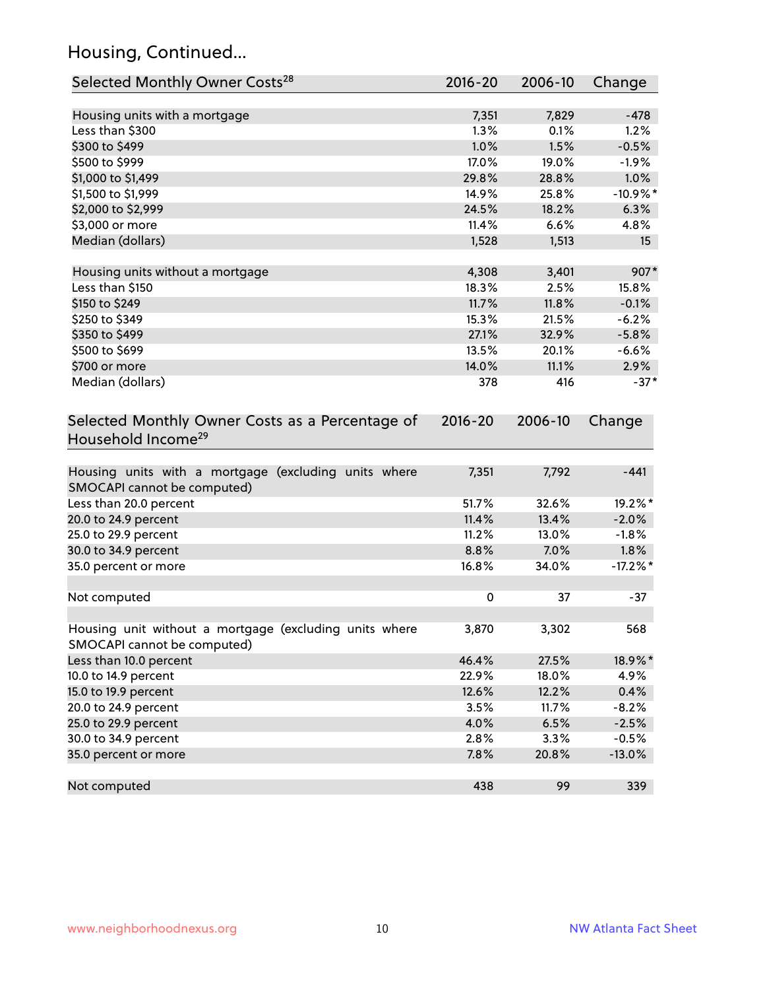## Housing, Continued...

| Selected Monthly Owner Costs <sup>28</sup>                                            | 2016-20 | 2006-10 | Change           |
|---------------------------------------------------------------------------------------|---------|---------|------------------|
| Housing units with a mortgage                                                         | 7,351   | 7,829   | $-478$           |
| Less than \$300                                                                       | 1.3%    | 0.1%    | 1.2%             |
| \$300 to \$499                                                                        | 1.0%    | 1.5%    | $-0.5%$          |
| \$500 to \$999                                                                        | 17.0%   | 19.0%   | $-1.9%$          |
| \$1,000 to \$1,499                                                                    | 29.8%   | 28.8%   | 1.0%             |
| \$1,500 to \$1,999                                                                    | 14.9%   | 25.8%   | $-10.9%$ *       |
| \$2,000 to \$2,999                                                                    | 24.5%   | 18.2%   | 6.3%             |
| \$3,000 or more                                                                       | 11.4%   | 6.6%    | 4.8%             |
| Median (dollars)                                                                      | 1,528   | 1,513   | 15 <sup>15</sup> |
|                                                                                       |         |         |                  |
| Housing units without a mortgage                                                      | 4,308   | 3,401   | 907*             |
| Less than \$150                                                                       | 18.3%   | 2.5%    | 15.8%            |
| \$150 to \$249                                                                        | 11.7%   | 11.8%   | $-0.1%$          |
| \$250 to \$349                                                                        | 15.3%   | 21.5%   | $-6.2%$          |
| \$350 to \$499                                                                        | 27.1%   | 32.9%   | $-5.8%$          |
| \$500 to \$699                                                                        | 13.5%   | 20.1%   | $-6.6%$          |
| \$700 or more                                                                         | 14.0%   | 11.1%   | 2.9%             |
| Median (dollars)                                                                      | 378     | 416     | $-37*$           |
| Selected Monthly Owner Costs as a Percentage of<br>Household Income <sup>29</sup>     |         |         | Change           |
| Housing units with a mortgage (excluding units where<br>SMOCAPI cannot be computed)   | 7,351   | 7,792   | $-441$           |
| Less than 20.0 percent                                                                | 51.7%   | 32.6%   | 19.2%*           |
| 20.0 to 24.9 percent                                                                  | 11.4%   | 13.4%   | $-2.0%$          |
| 25.0 to 29.9 percent                                                                  | 11.2%   | 13.0%   | $-1.8%$          |
| 30.0 to 34.9 percent                                                                  | 8.8%    | 7.0%    | $1.8\%$          |
| 35.0 percent or more                                                                  | 16.8%   | 34.0%   | $-17.2\%$ *      |
| Not computed                                                                          | 0       | 37      | $-37$            |
| Housing unit without a mortgage (excluding units where<br>SMOCAPI cannot be computed) | 3,870   | 3,302   | 568              |
| Less than 10.0 percent                                                                | 46.4%   | 27.5%   | 18.9%*           |
| 10.0 to 14.9 percent                                                                  | 22.9%   | 18.0%   | 4.9%             |
| 15.0 to 19.9 percent                                                                  | 12.6%   | 12.2%   | 0.4%             |
| 20.0 to 24.9 percent                                                                  | 3.5%    | 11.7%   | $-8.2%$          |
| 25.0 to 29.9 percent                                                                  | 4.0%    | 6.5%    | $-2.5%$          |
| 30.0 to 34.9 percent                                                                  | 2.8%    | 3.3%    | $-0.5%$          |
| 35.0 percent or more                                                                  | 7.8%    | 20.8%   | $-13.0%$         |
| Not computed                                                                          | 438     | 99      | 339              |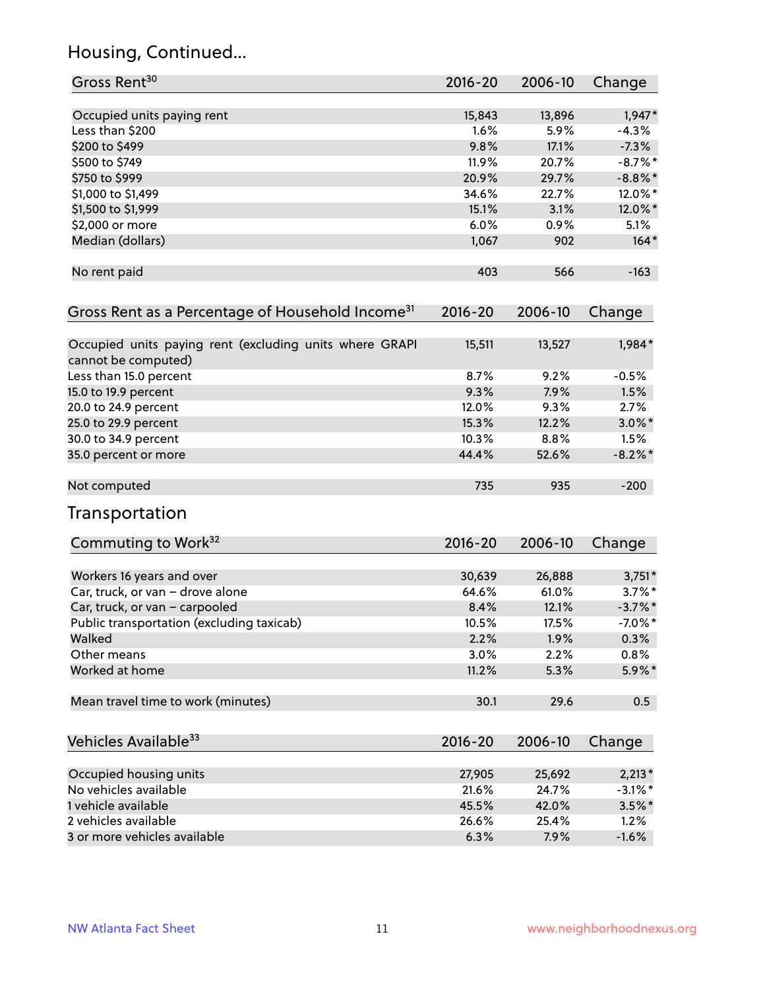## Housing, Continued...

| Gross Rent <sup>30</sup>                                                       | 2016-20     | 2006-10 | Change     |
|--------------------------------------------------------------------------------|-------------|---------|------------|
| Occupied units paying rent                                                     | 15,843      | 13,896  | $1,947*$   |
| Less than \$200                                                                | 1.6%        | 5.9%    | $-4.3%$    |
| \$200 to \$499                                                                 | 9.8%        | 17.1%   | $-7.3%$    |
| \$500 to \$749                                                                 | 11.9%       | 20.7%   | $-8.7\%$ * |
| \$750 to \$999                                                                 | 20.9%       | 29.7%   | $-8.8\%$ * |
| \$1,000 to \$1,499                                                             | 34.6%       | 22.7%   | 12.0%*     |
| \$1,500 to \$1,999                                                             | 15.1%       | 3.1%    | 12.0%*     |
| \$2,000 or more                                                                | 6.0%        | 0.9%    | 5.1%       |
| Median (dollars)                                                               | 1,067       | 902     | $164*$     |
| No rent paid                                                                   | 403         | 566     | $-163$     |
| Gross Rent as a Percentage of Household Income <sup>31</sup>                   | $2016 - 20$ | 2006-10 | Change     |
| Occupied units paying rent (excluding units where GRAPI<br>cannot be computed) | 15,511      | 13,527  | 1,984*     |
| Less than 15.0 percent                                                         | 8.7%        | 9.2%    | $-0.5%$    |
| 15.0 to 19.9 percent                                                           | 9.3%        | 7.9%    | 1.5%       |
| 20.0 to 24.9 percent                                                           | 12.0%       | 9.3%    | 2.7%       |
| 25.0 to 29.9 percent                                                           | 15.3%       | 12.2%   | $3.0\%$ *  |
| 30.0 to 34.9 percent                                                           | 10.3%       | 8.8%    | 1.5%       |
| 35.0 percent or more                                                           | 44.4%       | 52.6%   | $-8.2\%$ * |
| Not computed                                                                   | 735         | 935     | $-200$     |
| Transportation                                                                 |             |         |            |
| Commuting to Work <sup>32</sup>                                                | 2016-20     | 2006-10 | Change     |
| Workers 16 years and over                                                      | 30,639      | 26,888  | $3,751*$   |
| Car, truck, or van - drove alone                                               | 64.6%       | 61.0%   | $3.7\%$ *  |
| Car, truck, or van - carpooled                                                 | 8.4%        | 12.1%   | $-3.7\%$ * |
| Public transportation (excluding taxicab)                                      | 10.5%       | 17.5%   | $-7.0\%$ * |
| Walked                                                                         | 2.2%        | 1.9%    | 0.3%       |
| Other means                                                                    | 3.0%        | 2.2%    | 0.8%       |
| Worked at home                                                                 | 11.2%       | 5.3%    | 5.9%*      |
| Mean travel time to work (minutes)                                             | 30.1        | 29.6    | 0.5        |
| Vehicles Available <sup>33</sup>                                               | 2016-20     | 2006-10 | Change     |
| Occupied housing units                                                         | 27,905      | 25,692  | $2,213*$   |
| No vehicles available                                                          | 21.6%       | 24.7%   | $-3.1\%$ * |
| 1 vehicle available                                                            | 45.5%       | 42.0%   | $3.5\%$ *  |
| 2 vehicles available                                                           | 26.6%       | 25.4%   | 1.2%       |
| 3 or more vehicles available                                                   | 6.3%        | 7.9%    | $-1.6%$    |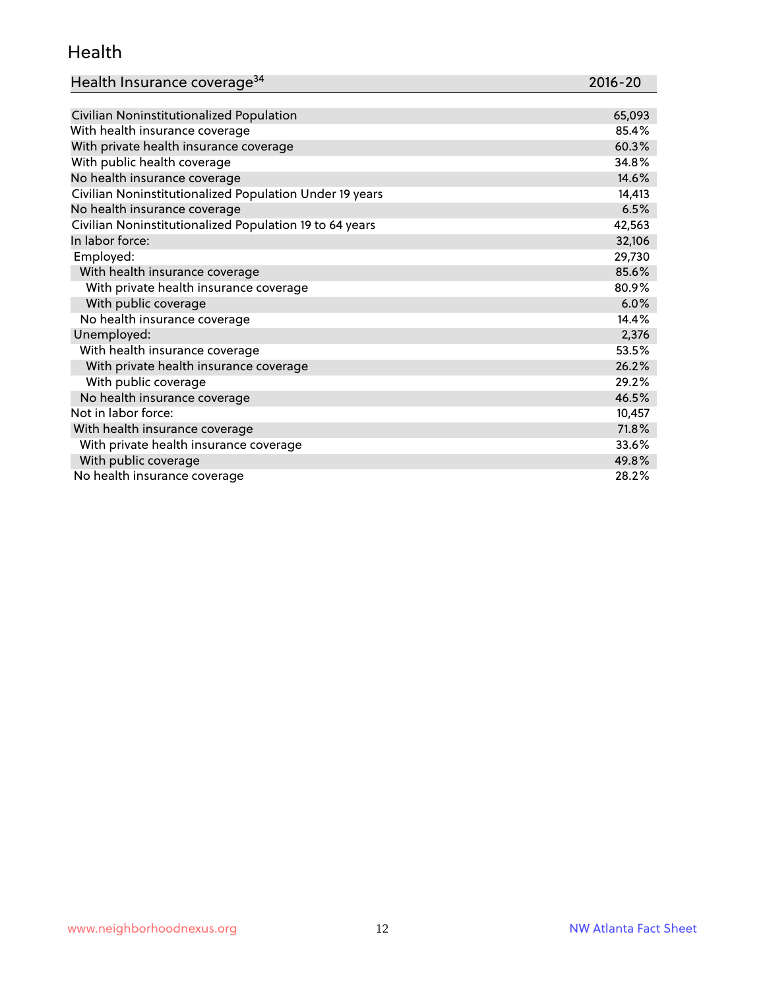#### Health

| Health Insurance coverage <sup>34</sup> | 2016-20 |
|-----------------------------------------|---------|
|-----------------------------------------|---------|

| Civilian Noninstitutionalized Population                | 65,093 |
|---------------------------------------------------------|--------|
| With health insurance coverage                          | 85.4%  |
| With private health insurance coverage                  | 60.3%  |
| With public health coverage                             | 34.8%  |
| No health insurance coverage                            | 14.6%  |
| Civilian Noninstitutionalized Population Under 19 years | 14,413 |
| No health insurance coverage                            | 6.5%   |
| Civilian Noninstitutionalized Population 19 to 64 years | 42,563 |
| In labor force:                                         | 32,106 |
| Employed:                                               | 29,730 |
| With health insurance coverage                          | 85.6%  |
| With private health insurance coverage                  | 80.9%  |
| With public coverage                                    | 6.0%   |
| No health insurance coverage                            | 14.4%  |
| Unemployed:                                             | 2,376  |
| With health insurance coverage                          | 53.5%  |
| With private health insurance coverage                  | 26.2%  |
| With public coverage                                    | 29.2%  |
| No health insurance coverage                            | 46.5%  |
| Not in labor force:                                     | 10,457 |
| With health insurance coverage                          | 71.8%  |
| With private health insurance coverage                  | 33.6%  |
| With public coverage                                    | 49.8%  |
| No health insurance coverage                            | 28.2%  |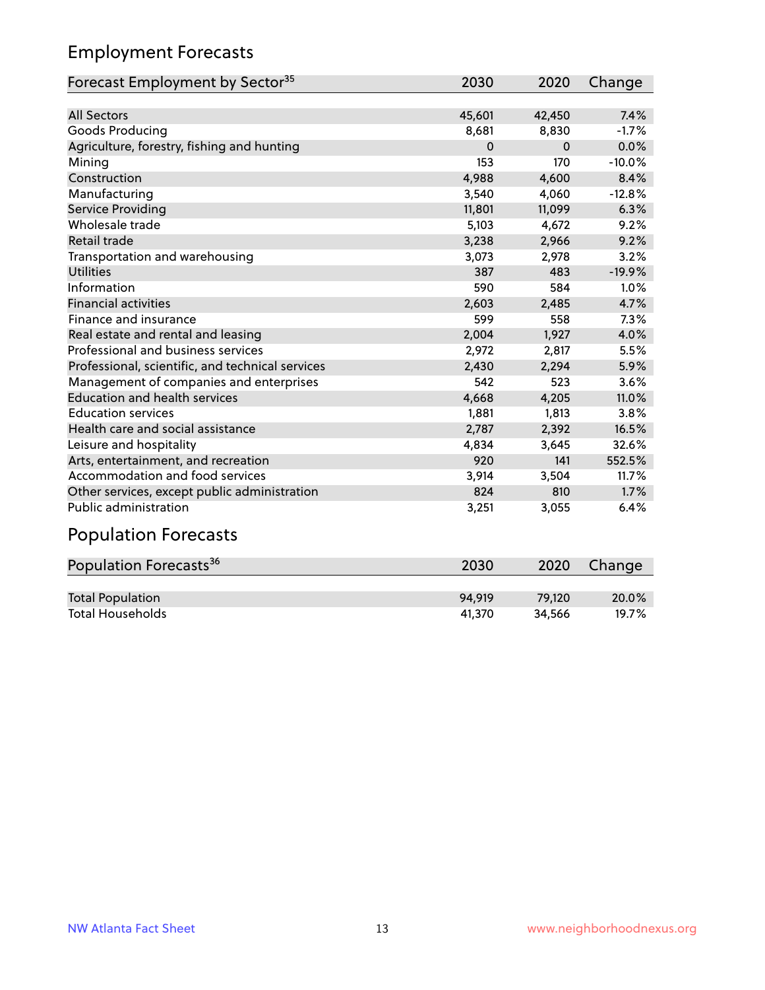## Employment Forecasts

| Forecast Employment by Sector <sup>35</sup>      | 2030     | 2020     | Change   |
|--------------------------------------------------|----------|----------|----------|
|                                                  |          |          |          |
| <b>All Sectors</b>                               | 45,601   | 42,450   | 7.4%     |
| Goods Producing                                  | 8,681    | 8,830    | $-1.7%$  |
| Agriculture, forestry, fishing and hunting       | $\Omega$ | $\Omega$ | 0.0%     |
| Mining                                           | 153      | 170      | $-10.0%$ |
| Construction                                     | 4,988    | 4,600    | 8.4%     |
| Manufacturing                                    | 3,540    | 4,060    | $-12.8%$ |
| <b>Service Providing</b>                         | 11,801   | 11,099   | 6.3%     |
| Wholesale trade                                  | 5,103    | 4,672    | 9.2%     |
| Retail trade                                     | 3,238    | 2,966    | 9.2%     |
| Transportation and warehousing                   | 3,073    | 2,978    | 3.2%     |
| <b>Utilities</b>                                 | 387      | 483      | $-19.9%$ |
| Information                                      | 590      | 584      | 1.0%     |
| <b>Financial activities</b>                      | 2,603    | 2,485    | 4.7%     |
| Finance and insurance                            | 599      | 558      | 7.3%     |
| Real estate and rental and leasing               | 2,004    | 1,927    | 4.0%     |
| Professional and business services               | 2,972    | 2,817    | 5.5%     |
| Professional, scientific, and technical services | 2,430    | 2,294    | 5.9%     |
| Management of companies and enterprises          | 542      | 523      | 3.6%     |
| <b>Education and health services</b>             | 4,668    | 4,205    | 11.0%    |
| <b>Education services</b>                        | 1,881    | 1,813    | 3.8%     |
| Health care and social assistance                | 2,787    | 2,392    | 16.5%    |
| Leisure and hospitality                          | 4,834    | 3,645    | 32.6%    |
| Arts, entertainment, and recreation              | 920      | 141      | 552.5%   |
| Accommodation and food services                  | 3,914    | 3.504    | 11.7%    |
| Other services, except public administration     | 824      | 810      | 1.7%     |
| <b>Public administration</b>                     | 3,251    | 3,055    | 6.4%     |

# Population Forecasts

| Population Forecasts <sup>36</sup> | 2030   | 2020   | Change   |
|------------------------------------|--------|--------|----------|
|                                    |        |        |          |
| <b>Total Population</b>            | 94.919 | 79.120 | 20.0%    |
| <b>Total Households</b>            | 41.370 | 34.566 | $19.7\%$ |